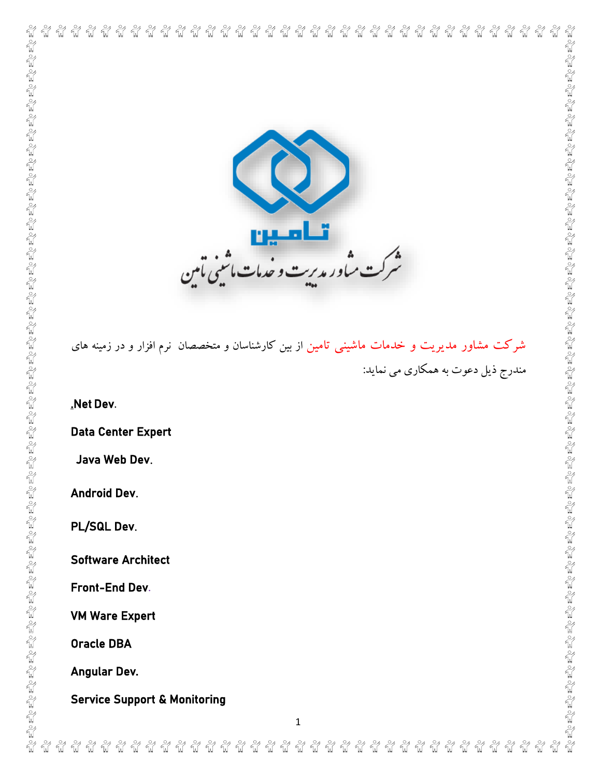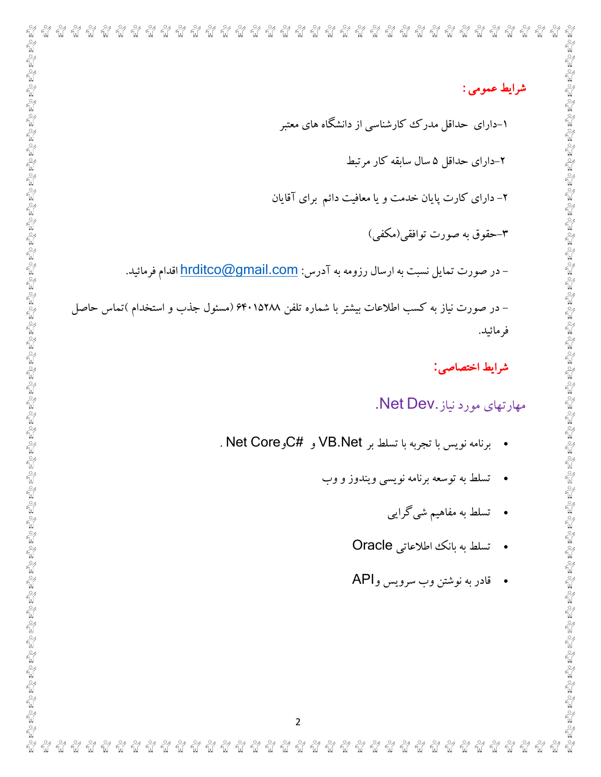| شرايط عمومي :                                                                              |  |
|--------------------------------------------------------------------------------------------|--|
| ۱–دارای حداقل مدرک کارشناسی از دانشگاه های معتبر                                           |  |
| ۲-دارای حداقل ۵ سال سابقه کار مرتبط                                                        |  |
| ۲- دارای کارت پایان خدمت و یا معافیت دائم برای آقایان                                      |  |
| ۳–حقوق به صورت توافقی(مکفی)                                                                |  |
| – در صورت تمایل نسبت به ارسال رزومه به آدرس: <u>hrditco@gmail.com</u> اقدام فرمائید.       |  |
| – در صورت نیاز به کسب اطلاعات بیشتر با شماره تلفن ۶۴۰۱۵۲۸۸ (مسئول جذب و استخدام )تماس حاصل |  |
| فر مائيد.                                                                                  |  |
| شرايط اختصاصي:                                                                             |  |
| مهارتهای مورد نیاز .Net Dev.                                                               |  |
| • برنامه نويس با تجربه با تسلط بر VB.Net و #Net Core.                                      |  |
| تسلط به توسعه برنامه نویسی ویندوز و وب                                                     |  |
| •     تسلط به مفاهیم شیگرایی                                                               |  |
| • تسلط به بانك اطلاعاتي Oracle                                                             |  |
| • قادر به نوشتن وب سرويس وAPI                                                              |  |
|                                                                                            |  |
|                                                                                            |  |
|                                                                                            |  |
|                                                                                            |  |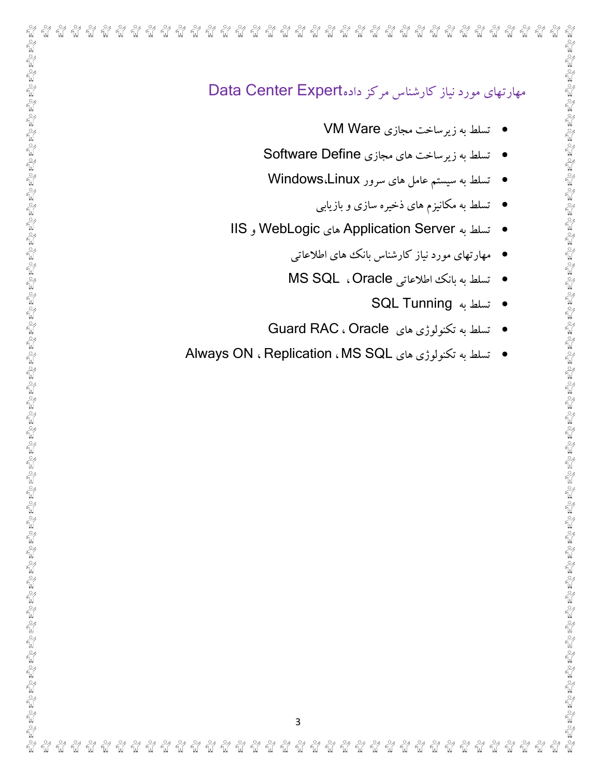| مهارتهای مورد نیاز کارشناس مرکز دادهData Center Expert  |  |
|---------------------------------------------------------|--|
| • تسلط به زیرساخت مجازی VM Ware                         |  |
| تسلط به زيرساخت هاي مجازي Software Define               |  |
| • تسلط به سیستم عامل های سرور Windows،Linux             |  |
| ●    تسلط به مکانیزم های ذخیره سازی و بازیابی           |  |
| تسلط به Application Server های WebLogic و IIS           |  |
| مهارتهای مورد نیاز کارشناس بانک های اطلاعاتی            |  |
| ● تسلط به بانك اطلاعاتي MS SQL ، Oracle                 |  |
| ● تسلط به SQL Tunning                                   |  |
| • تسلط به تكنولوژي هاي Guard RAC ، Oracle               |  |
| • تسلط به تكنولوژي هاي Always ON ، Replication ، MS SQL |  |
|                                                         |  |
|                                                         |  |
|                                                         |  |
|                                                         |  |
|                                                         |  |
|                                                         |  |
|                                                         |  |
|                                                         |  |
|                                                         |  |
|                                                         |  |
|                                                         |  |
|                                                         |  |
|                                                         |  |
|                                                         |  |
|                                                         |  |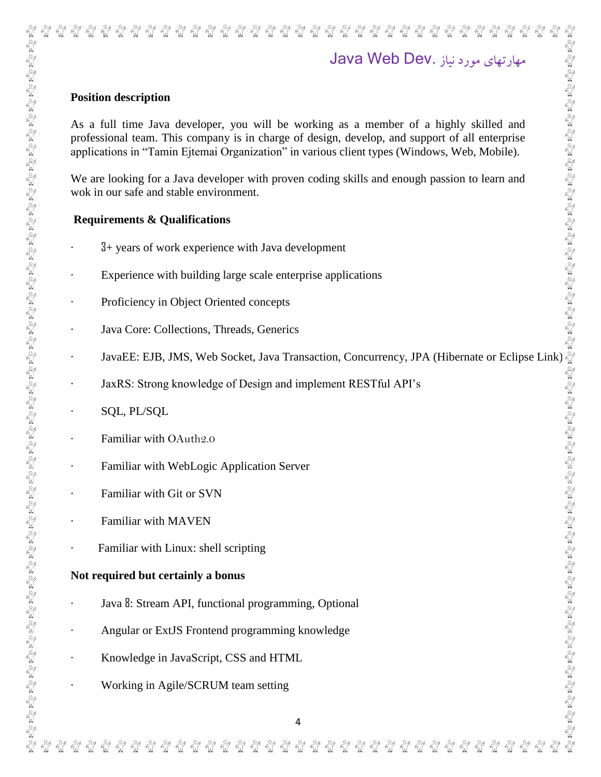# ซ้ ชื ୷ ซ้ ชื นี้ นี นี ชื่ นี้ นี นี้ นี นี ที่  $\frac{8}{10}$ นี นี นี นี นี้ นี นี นี ซ้ นี นี مهارتهای مورد نیاز .Dev Web Java **Position description** As a full time Java developer, you will be working as a member of a highly skilled and professional team. This company is in charge of design, develop, and support of all enterprise applications in "Tamin Ejtemai Organization" in various client types (Windows, Web, Mobile). We are looking for a Java developer with proven coding skills and enough passion to learn and wok in our safe and stable environment. **Requirements & Qualifications** · 3+ years of work experience with Java development Experience with building large scale enterprise applications Proficiency in Object Oriented concepts Java Core: Collections, Threads, Generics

- JavaEE: EJB, JMS, Web Socket, Java Transaction, Concurrency, JPA (Hibernate or Eclipse Link)
- JaxRS: Strong knowledge of Design and implement RESTful API's
- · SQL, PL/SQL
- Familiar with OAuth2.0
- Familiar with WebLogic Application Server
- Familiar with Git or SVN
- Familiar with MAVEN
- Familiar with Linux: shell scripting

### **Not required but certainly a bonus**

- Java 8: Stream API, functional programming, Optional
- Angular or ExtJS Frontend programming knowledge
- · Knowledge in JavaScript, CSS and HTML
- · Working in Agile/SCRUM team setting

**Fill fill fill**  $\frac{1}{2}$  $\frac{3}{2}$  $\frac{3}{2}$  $\frac{8}{10}$ **ค์ คือ คือ**  $\frac{8}{10}$  $\frac{3}{2}$  $\frac{8}{10}$ ล์ มี มี ชั କ୍ଷ  $\frac{3}{2}$  $\frac{3}{2}$  $\frac{8}{10}$ ชื ୷ ชื ชั ชื นี้ ซี  $\frac{8}{10}$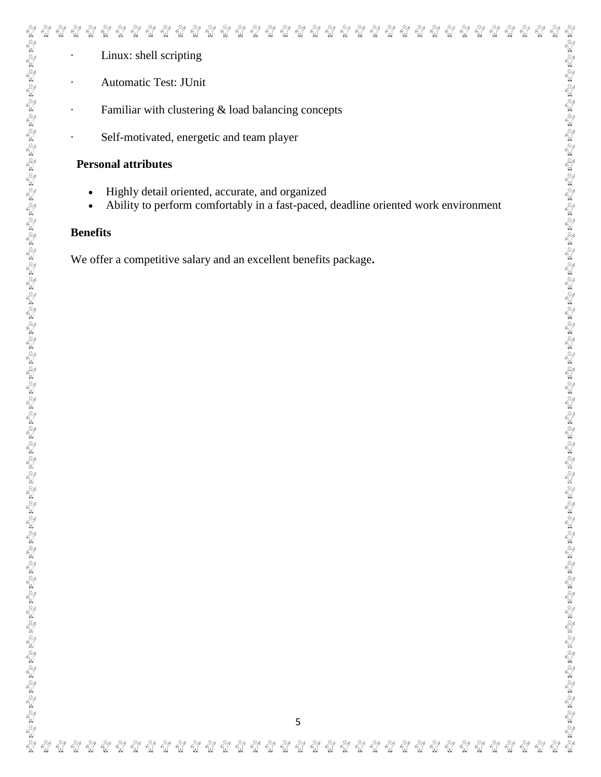| $\begin{array}{ll} \frac{Q}{Q} \leq & \frac{Q}{Q} \leq \frac{Q}{Q} \leq \frac{Q}{Q} \leq \frac{Q}{Q} \leq \frac{Q}{Q} \leq \frac{Q}{Q} \leq \frac{Q}{Q} \leq \frac{Q}{Q} \leq \frac{Q}{Q} \leq \frac{Q}{Q} \leq \frac{Q}{Q} \leq \frac{Q}{Q} \leq \frac{Q}{Q} \leq \frac{Q}{Q} \leq \frac{Q}{Q} \leq \frac{Q}{Q} \leq \frac{Q}{Q} \leq \frac{Q}{Q} \leq \frac{Q}{Q} \leq \frac{Q}{Q} \leq \frac$ |
|--------------------------------------------------------------------------------------------------------------------------------------------------------------------------------------------------------------------------------------------------------------------------------------------------------------------------------------------------------------------------------------------------|
|                                                                                                                                                                                                                                                                                                                                                                                                  |
|                                                                                                                                                                                                                                                                                                                                                                                                  |
|                                                                                                                                                                                                                                                                                                                                                                                                  |
|                                                                                                                                                                                                                                                                                                                                                                                                  |
|                                                                                                                                                                                                                                                                                                                                                                                                  |
|                                                                                                                                                                                                                                                                                                                                                                                                  |
|                                                                                                                                                                                                                                                                                                                                                                                                  |
|                                                                                                                                                                                                                                                                                                                                                                                                  |
|                                                                                                                                                                                                                                                                                                                                                                                                  |
|                                                                                                                                                                                                                                                                                                                                                                                                  |
|                                                                                                                                                                                                                                                                                                                                                                                                  |
|                                                                                                                                                                                                                                                                                                                                                                                                  |
|                                                                                                                                                                                                                                                                                                                                                                                                  |
|                                                                                                                                                                                                                                                                                                                                                                                                  |
|                                                                                                                                                                                                                                                                                                                                                                                                  |
|                                                                                                                                                                                                                                                                                                                                                                                                  |
|                                                                                                                                                                                                                                                                                                                                                                                                  |
|                                                                                                                                                                                                                                                                                                                                                                                                  |
|                                                                                                                                                                                                                                                                                                                                                                                                  |
|                                                                                                                                                                                                                                                                                                                                                                                                  |
|                                                                                                                                                                                                                                                                                                                                                                                                  |
|                                                                                                                                                                                                                                                                                                                                                                                                  |
|                                                                                                                                                                                                                                                                                                                                                                                                  |
|                                                                                                                                                                                                                                                                                                                                                                                                  |
|                                                                                                                                                                                                                                                                                                                                                                                                  |
|                                                                                                                                                                                                                                                                                                                                                                                                  |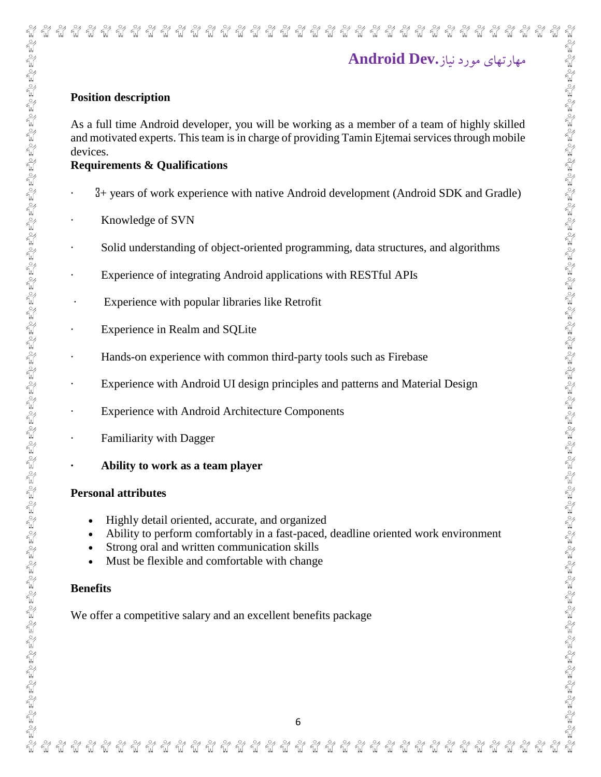# مهارتهای مورد نیاز**.Dev Android**

นี้ นี้ นี้ นี้ นี้ นี

นี

นี

### **Position description**

 $\frac{3}{2}$ ซ้ ซ้ ซ้ ซ้ นี

ทั่

As a full time Android developer, you will be working as a member of a team of highly skilled and motivated experts. This team is in charge of providing Tamin Ejtemai services through mobile devices.

นี นี นี นี

### **Requirements & Qualifications**

- · 3+ years of work experience with native Android development (Android SDK and Gradle)
- Knowledge of SVN
- Solid understanding of object-oriented programming, data structures, and algorithms
- Experience of integrating Android applications with RESTful APIs
- · Experience with popular libraries like Retrofit

ที่ ที่ ที

นี้

นี นี้ นี้

- Experience in Realm and SQLite
- Hands-on experience with common third-party tools such as Firebase
- Experience with Android UI design principles and patterns and Material Design
- Experience with Android Architecture Components
- Familiarity with Dagger

ہے ہے ہے ہے ہے ہے ہے ہے ہے<br>اما کیا کیا کیا کیا کیا کیا کیا کیا

**· Ability to work as a team player**

### **Personal attributes**

- Highly detail oriented, accurate, and organized
- Ability to perform comfortably in a fast-paced, deadline oriented work environment
- Strong oral and written communication skills
- Must be flexible and comfortable with change

### **Benefits**

 $\frac{3}{2}$  $\frac{8}{3}$ 

We offer a competitive salary and an excellent benefits package

 $\frac{1}{2}$ 

 $\frac{8}{10}$  $\frac{3}{2}$   $\begin{picture}(120,111) \put(0,0){\line(1,0){15}} \put(15,0){\line(1,0){15}} \put(15,0){\line(1,0){15}} \put(15,0){\line(1,0){15}} \put(15,0){\line(1,0){15}} \put(15,0){\line(1,0){15}} \put(15,0){\line(1,0){15}} \put(15,0){\line(1,0){15}} \put(15,0){\line(1,0){15}} \put(15,0){\line(1,0){15}} \put(15,0){\line(1,0){15}} \put(15,0){\line$ 

 $\frac{1}{2}$ 

וכם וכם וכם וכם וכם וכם וכם וכם וכם.<br>אוף אוף אוף אוף אוף אוף אוף אוף אוף אוף

 $\frac{8}{10}$  $\frac{8}{10}$ 

 $\frac{1}{2}$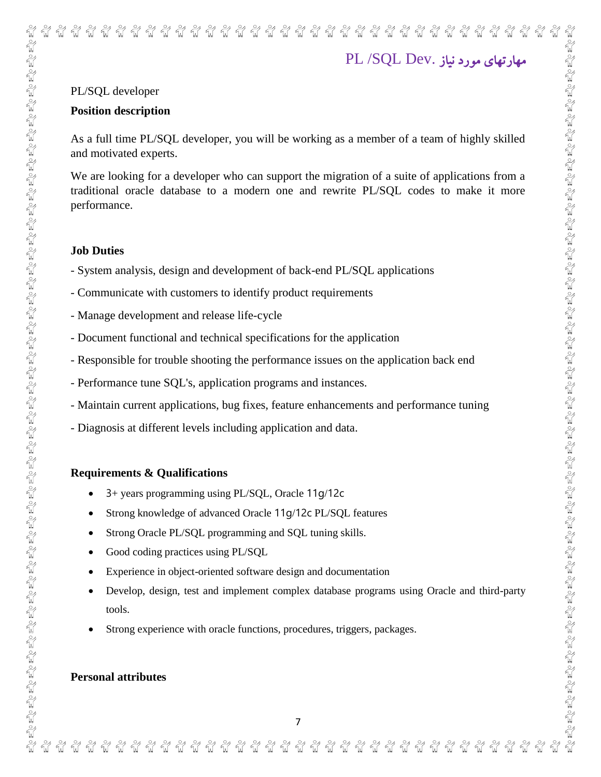### Represented to the MP MP MP MP MP MP MP MP ี พี พี พี พี  $\frac{8}{10}$ นี  $\frac{8}{10}$ ชั นี ซั นี مهارتهای مورد نیاز .Dev SQL/ PL

### PL/SQL developer

### **Position description**

As a full time PL/SQL developer, you will be working as a member of a team of highly skilled and motivated experts.

We are looking for a developer who can support the migration of a suite of applications from a traditional oracle database to a modern one and rewrite PL/SQL codes to make it more performance.

### **Job Duties**

- System analysis, design and development of back-end PL/SQL applications
- Communicate with customers to identify product requirements
- Manage development and release life-cycle
- Document functional and technical specifications for the application
- Responsible for trouble shooting the performance issues on the application back end
- Performance tune SQL's, application programs and instances.
- Maintain current applications, bug fixes, feature enhancements and performance tuning
- Diagnosis at different levels including application and data.

### **Requirements & Qualifications**

- 3+ years programming using PL/SQL, Oracle 11g/12c
- Strong knowledge of advanced Oracle 11g/12c PL/SQL features
- Strong Oracle PL/SQL programming and SQL tuning skills.
- Good coding practices using PL/SOL
- Experience in object-oriented software design and documentation
- Develop, design, test and implement complex database programs using Oracle and third-party tools.
- Strong experience with oracle functions, procedures, triggers, packages.

### **Personal attributes**

 $\frac{8}{10}$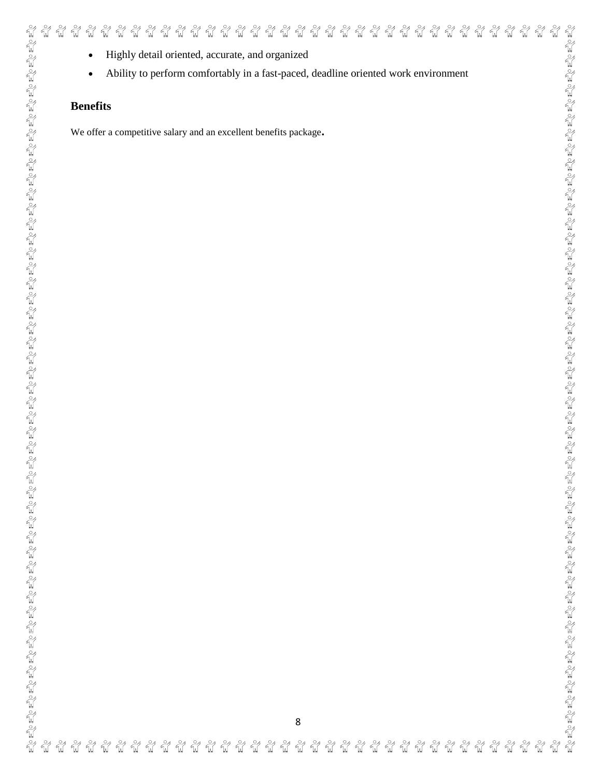Ability to perform comfortably in a fast-paced, deadline oriented work environment

 $\frac{1}{2}$  $\frac{1}{2}$ ชื ชื  $\frac{1}{2}$ Ñ  $\frac{1}{2}$ ୷ ชั  $\frac{1}{2}$ 

นี

นี้

นี

### **Benefits**

ชื ชื

We offer a competitive salary and an excellent benefits package**.**

**W** ₩  $\frac{1}{2}$  $\frac{1}{2}$  $\frac{1}{2}$  $\frac{1}{2}$  $\frac{\circ}{\mathbb{N}}$  $\frac{\circ}{\mathbb{W}}$  $\frac{\circ}{\mathcal{U}}$  $\frac{\circ}{\mathbb{N}}$  $\int_0^\infty$  $\frac{\circ}{\mathbb{N}}$  $\frac{\circ}{\mathcal{U}}$  $\int_0^\infty$  $\frac{\circ}{\mathbb{A}}$  $\frac{\circ}{\mathbb{N}}$  $\frac{\circ}{\mathbb{N}}$  $\frac{\circ}{M}$  $W^{\circ}$  $\frac{\circ}{\mathcal{U}}$  $\frac{\circ}{\mathsf{M}}$ นี้  $\frac{1}{2}$  $\frac{1}{2}$  $\frac{1}{2}$  $\frac{3}{2}$  $\frac{1}{2}$ Ñ  $\frac{\circ}{M}$ **W** n<sup>o</sup>  $\frac{1}{2}$ Ñ ชื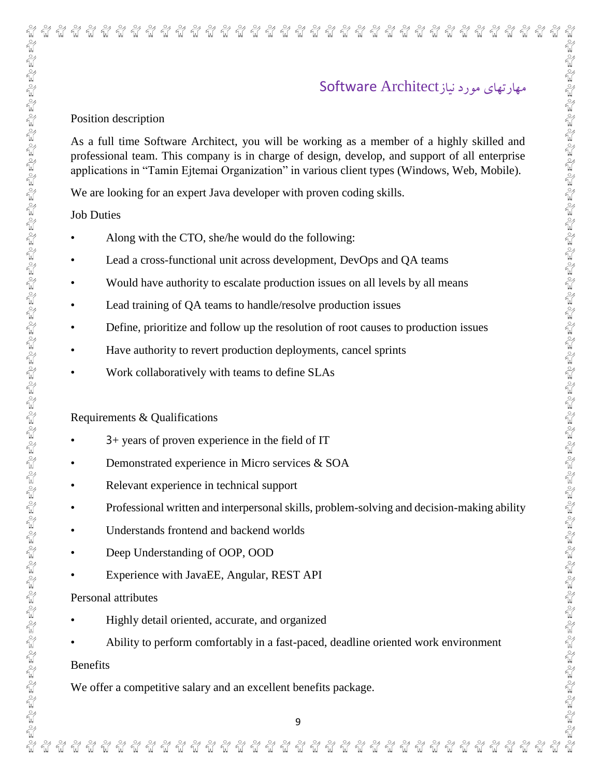# 

### พี พี พี พี พี พี ซ้ ชื ชั ୍କୁ ี พี พี พี พี นี นี นี้ นี นี นี นี ซ้ นี นี นี้ ซ้

# مهارتهای مورد نیازArchitect Software

### Position description

As a full time Software Architect, you will be working as a member of a highly skilled and professional team. This company is in charge of design, develop, and support of all enterprise applications in "Tamin Ejtemai Organization" in various client types (Windows, Web, Mobile).

We are looking for an expert Java developer with proven coding skills.

Job Duties

- Along with the CTO, she/he would do the following:
- Lead a cross-functional unit across development, DevOps and QA teams
- Would have authority to escalate production issues on all levels by all means
- Lead training of QA teams to handle/resolve production issues
- Define, prioritize and follow up the resolution of root causes to production issues
- Have authority to revert production deployments, cancel sprints
- Work collaboratively with teams to define SLAs

### Requirements & Qualifications

- 3+ years of proven experience in the field of IT
- Demonstrated experience in Micro services & SOA
- Relevant experience in technical support
- Professional written and interpersonal skills, problem-solving and decision-making ability
- Understands frontend and backend worlds
- Deep Understanding of OOP, OOD

a ng ng ng ng ng ng ng ng

• Experience with JavaEE, Angular, REST API

### Personal attributes

- Highly detail oriented, accurate, and organized
- Ability to perform comfortably in a fast-paced, deadline oriented work environment

Benefits

 $\frac{3}{2}$  $\frac{8}{10}$  $\epsilon_{\rm in}^{\circ}$ 

We offer a competitive salary and an excellent benefits package.

ชั